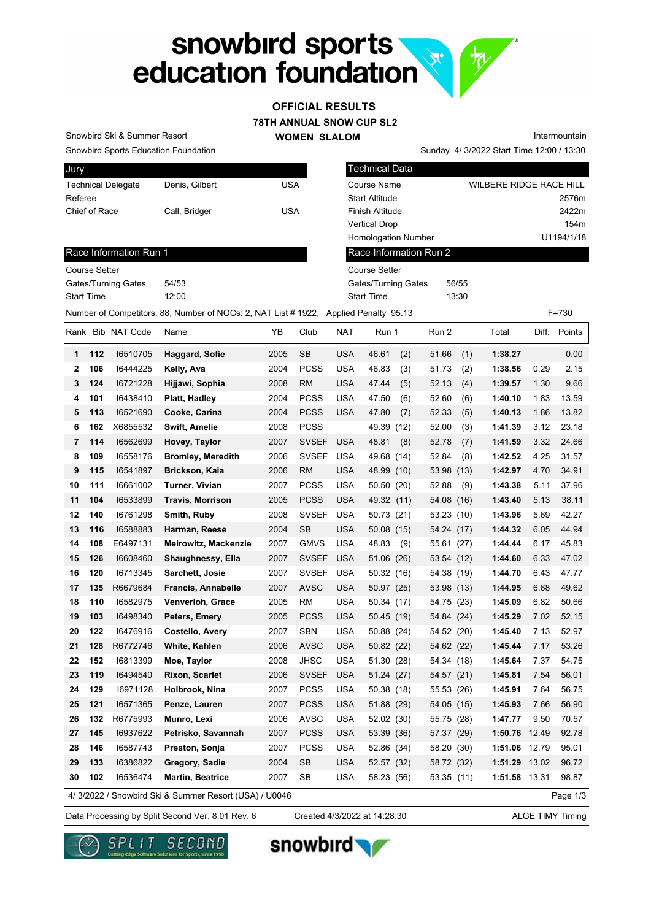# snowbird sports<br>
education foundation

# **OFFICIAL RESULTS**

**78TH ANNUAL SNOW CUP SL2**

**WOMEN SLALOM** 

Snowbird Sports Education Foundation Snowbird Ski & Summer Resort

Sunday 4/ 3/2022 Start Time 12:00 / 13:30 Intermountain

| Jury                      |                |     |
|---------------------------|----------------|-----|
| <b>Technical Delegate</b> | Denis, Gilbert | USA |
| Referee                   |                |     |
| Chief of Race             | Call, Bridger  | USA |
|                           |                |     |

| Gilbert | <b>USA</b> | <b>Course Name</b>                                     | WILBERE RIDGE RACE HILL |
|---------|------------|--------------------------------------------------------|-------------------------|
|         |            | <b>Start Altitude</b>                                  | 2576m                   |
| idger   | <b>USA</b> | <b>Finish Altitude</b>                                 | 2422m                   |
|         |            | <b>Vertical Drop</b>                                   | 154 <sub>m</sub>        |
|         |            | <b>Homologation Number</b>                             | U1194/1/18              |
|         |            | Race Information Run 2                                 |                         |
|         |            | Course Setter                                          |                         |
|         |            | Gates/Turning Gates                                    | 56/55                   |
|         |            | <b>Start Time</b>                                      | 13:30                   |
|         |            | ber of NOCs: 2, NAT List # 1922, Applied Penalty 95.13 | $F = 730$               |
|         |            |                                                        |                         |

Technical Data

#### Race Information Run 1

Course Setter Gates/Turning Gates 54/53 Start Time 12:00

|    |     |                   | Number of Competitors: 88, Number of NOCs: 2, NAT List # 1922, Applied Penalty 95.13 |      |              |            |              |            |      |               |       | $F = 730$    |
|----|-----|-------------------|--------------------------------------------------------------------------------------|------|--------------|------------|--------------|------------|------|---------------|-------|--------------|
|    |     | Rank Bib NAT Code | Name                                                                                 | YB   | Club         | <b>NAT</b> | Run 1        | Run 2      |      | Total         |       | Diff. Points |
| 1  | 112 | 16510705          | Haggard, Sofie                                                                       | 2005 | SB           | <b>USA</b> | 46.61<br>(2) | 51.66      | (1)  | 1:38.27       |       | 0.00         |
| 2  | 106 | 16444225          | Kelly, Ava                                                                           | 2004 | <b>PCSS</b>  | <b>USA</b> | 46.83<br>(3) | 51.73      | (2)  | 1:38.56       | 0.29  | 2.15         |
| 3  | 124 | 16721228          | Hijjawi, Sophia                                                                      | 2008 | <b>RM</b>    | <b>USA</b> | 47.44<br>(5) | 52.13      | (4)  | 1:39.57       | 1.30  | 9.66         |
| 4  | 101 | 16438410          | Platt, Hadley                                                                        | 2004 | <b>PCSS</b>  | <b>USA</b> | 47.50<br>(6) | 52.60      | (6)  | 1:40.10       | 1.83  | 13.59        |
| 5  | 113 | 16521690          | Cooke, Carina                                                                        | 2004 | <b>PCSS</b>  | <b>USA</b> | (7)<br>47.80 | 52.33      | (5)  | 1:40.13       | 1.86  | 13.82        |
| 6  | 162 | X6855532          | Swift, Amelie                                                                        | 2008 | <b>PCSS</b>  |            | 49.39 (12)   | 52.00      | (3)  | 1:41.39       | 3.12  | 23.18        |
| 7  | 114 | 16562699          | Hovey, Taylor                                                                        | 2007 | <b>SVSEF</b> | <b>USA</b> | 48.81<br>(8) | 52.78      | (7)  | 1:41.59       | 3.32  | 24.66        |
| 8  | 109 | 16558176          | <b>Bromley, Meredith</b>                                                             | 2006 | <b>SVSEF</b> | <b>USA</b> | 49.68 (14)   | 52.84      | (8)  | 1:42.52       | 4.25  | 31.57        |
| 9  | 115 | 16541897          | Brickson, Kaia                                                                       | 2006 | <b>RM</b>    | USA        | 48.99 (10)   | 53.98      | (13) | 1:42.97       | 4.70  | 34.91        |
| 10 | 111 | 16661002          | Turner, Vivian                                                                       | 2007 | <b>PCSS</b>  | <b>USA</b> | 50.50 (20)   | 52.88      | (9)  | 1:43.38       | 5.11  | 37.96        |
| 11 | 104 | 16533899          | <b>Travis, Morrison</b>                                                              | 2005 | PCSS         | USA        | 49.32 (11)   | 54.08      | (16) | 1:43.40       | 5.13  | 38.11        |
| 12 | 140 | 16761298          | Smith, Ruby                                                                          | 2008 | <b>SVSEF</b> | <b>USA</b> | 50.73 (21)   | 53.23 (10) |      | 1:43.96       | 5.69  | 42.27        |
| 13 | 116 | 16588883          | Harman, Reese                                                                        | 2004 | <b>SB</b>    | <b>USA</b> | 50.08 (15)   | 54.24 (17) |      | 1:44.32       | 6.05  | 44.94        |
| 14 | 108 | E6497131          | Meirowitz, Mackenzie                                                                 | 2007 | <b>GMVS</b>  | <b>USA</b> | 48.83<br>(9) | 55.61 (27) |      | 1:44.44       | 6.17  | 45.83        |
| 15 | 126 | 16608460          | Shaughnessy, Ella                                                                    | 2007 | <b>SVSEF</b> | <b>USA</b> | 51.06 (26)   | 53.54 (12) |      | 1:44.60       | 6.33  | 47.02        |
| 16 | 120 | 16713345          | Sarchett, Josie                                                                      | 2007 | <b>SVSEF</b> | <b>USA</b> | 50.32 (16)   | 54.38 (19) |      | 1:44.70       | 6.43  | 47.77        |
| 17 | 135 | R6679684          | <b>Francis, Annabelle</b>                                                            | 2007 | <b>AVSC</b>  | USA        | 50.97 (25)   | 53.98 (13) |      | 1:44.95       | 6.68  | 49.62        |
| 18 | 110 | 16582975          | Venverloh, Grace                                                                     | 2005 | <b>RM</b>    | <b>USA</b> | 50.34 (17)   | 54.75 (23) |      | 1:45.09       | 6.82  | 50.66        |
| 19 | 103 | 16498340          | Peters, Emery                                                                        | 2005 | <b>PCSS</b>  | <b>USA</b> | 50.45 (19)   | 54.84 (24) |      | 1:45.29       | 7.02  | 52.15        |
| 20 | 122 | 16476916          | Costello, Avery                                                                      | 2007 | <b>SBN</b>   | <b>USA</b> | 50.88 (24)   | 54.52 (20) |      | 1:45.40       | 7.13  | 52.97        |
| 21 | 128 | R6772746          | White, Kahlen                                                                        | 2006 | <b>AVSC</b>  | <b>USA</b> | 50.82 (22)   | 54.62 (22) |      | 1:45.44       | 7.17  | 53.26        |
| 22 | 152 | 16813399          | Moe, Taylor                                                                          | 2008 | JHSC         | <b>USA</b> | 51.30 (28)   | 54.34 (18) |      | 1:45.64       | 7.37  | 54.75        |
| 23 | 119 | 16494540          | <b>Rixon, Scarlet</b>                                                                | 2006 | <b>SVSEF</b> | <b>USA</b> | 51.24 (27)   | 54.57 (21) |      | 1:45.81       | 7.54  | 56.01        |
| 24 | 129 | 16971128          | Holbrook, Nina                                                                       | 2007 | <b>PCSS</b>  | <b>USA</b> | 50.38 (18)   | 55.53 (26) |      | 1:45.91       | 7.64  | 56.75        |
| 25 | 121 | 16571365          | Penze, Lauren                                                                        | 2007 | <b>PCSS</b>  | <b>USA</b> | 51.88 (29)   | 54.05 (15) |      | 1:45.93       | 7.66  | 56.90        |
| 26 | 132 | R6775993          | Munro, Lexi                                                                          | 2006 | <b>AVSC</b>  | <b>USA</b> | 52.02 (30)   | 55.75 (28) |      | 1:47.77       | 9.50  | 70.57        |
| 27 | 145 | 16937622          | Petrisko, Savannah                                                                   | 2007 | <b>PCSS</b>  | USA        | 53.39 (36)   | 57.37 (29) |      | 1:50.76 12.49 |       | 92.78        |
| 28 | 146 | 16587743          | Preston, Sonja                                                                       | 2007 | <b>PCSS</b>  | <b>USA</b> | 52.86 (34)   | 58.20      | (30) | 1:51.06       | 12.79 | 95.01        |
| 29 | 133 | 16386822          | Gregory, Sadie                                                                       | 2004 | SB           | <b>USA</b> | 52.57 (32)   | 58.72 (32) |      | 1:51.29       | 13.02 | 96.72        |
| 30 | 102 | 16536474          | <b>Martin, Beatrice</b>                                                              | 2007 | <b>SB</b>    | <b>USA</b> | 58.23 (56)   | 53.35 (11) |      | 1:51.58 13.31 |       | 98.87        |
|    |     |                   | 4/ 3/2022 / Snowbird Ski & Summer Resort (USA) / U0046                               |      |              |            |              |            |      |               |       | Page 1/3     |

Data Processing by Split Second Ver. 8.01 Rev. 6 Created 4/3/2022 at 14:28:30 ALGE TIMY Timing

Created 4/3/2022 at 14:28:30

snowbird

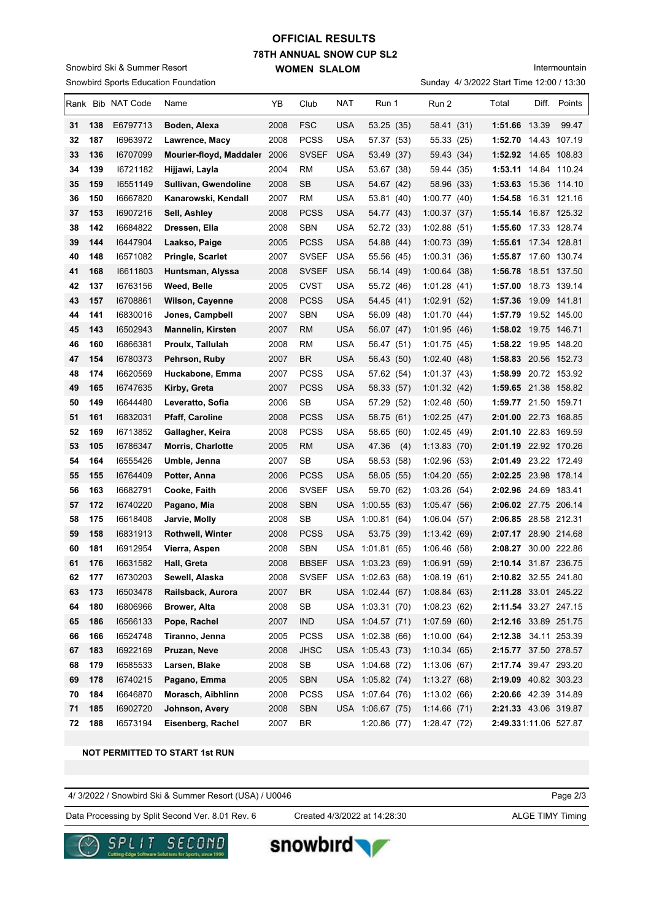# **78TH ANNUAL SNOW CUP SL2 WOMEN SLALOM OFFICIAL RESULTS**

Snowbird Sports Education Foundation Snowbird Ski & Summer Resort

Intermountain

Sunday 4/ 3/2022 Start Time 12:00 / 13:30

|    |     | Rank Bib NAT Code | Name                         | YB   | Club         | NAT        | Run 1                  |     | Run 2        | Total                        | Diff. | Points       |
|----|-----|-------------------|------------------------------|------|--------------|------------|------------------------|-----|--------------|------------------------------|-------|--------------|
| 31 | 138 | E6797713          | Boden, Alexa                 | 2008 | <b>FSC</b>   | <b>USA</b> | 53.25(35)              |     | 58.41 (31)   | 1:51.66 13.39                |       | 99.47        |
| 32 | 187 | 16963972          | Lawrence, Macy               | 2008 | <b>PCSS</b>  | <b>USA</b> | 57.37 (53)             |     | 55.33 (25)   | 1:52.70 14.43 107.19         |       |              |
| 33 | 136 | 16707099          | Mourier-floyd, Maddaler 2006 |      | <b>SVSEF</b> | <b>USA</b> | 53.49 (37)             |     | 59.43 (34)   | <b>1:52.92</b> 14.65  108.83 |       |              |
| 34 | 139 | 16721182          | Hijjawi, Layla               | 2004 | RM           | USA        | 53.67 (38)             |     | 59.44 (35)   | 1:53.11 14.84 110.24         |       |              |
| 35 | 159 | 16551149          | Sullivan, Gwendoline         | 2008 | <b>SB</b>    | <b>USA</b> | 54.67 (42)             |     | 58.96 (33)   | 1:53.63 15.36 114.10         |       |              |
| 36 | 150 | 16667820          | Kanarowski, Kendall          | 2007 | <b>RM</b>    | <b>USA</b> | 53.81 (40)             |     | 1:00.77(40)  | 1:54.58 16.31 121.16         |       |              |
| 37 | 153 | 16907216          | Sell, Ashley                 | 2008 | <b>PCSS</b>  | <b>USA</b> | 54.77 (43)             |     | 1:00.37(37)  | 1:55.14 16.87 125.32         |       |              |
| 38 | 142 | 16684822          | Dressen, Ella                | 2008 | SBN          | <b>USA</b> | 52.72 (33)             |     | 1:02.88(51)  | 1:55.60 17.33 128.74         |       |              |
| 39 | 144 | 16447904          | Laakso, Paige                | 2005 | <b>PCSS</b>  | <b>USA</b> | 54.88 (44)             |     | 1:00.73(39)  | <b>1:55.61</b> 17.34  128.81 |       |              |
| 40 | 148 | 16571082          | <b>Pringle, Scarlet</b>      | 2007 | <b>SVSEF</b> | USA        | 55.56 (45)             |     | 1:00.31(36)  | 1:55.87 17.60 130.74         |       |              |
| 41 | 168 | 16611803          | Huntsman, Alyssa             | 2008 | <b>SVSEF</b> | <b>USA</b> | 56.14 (49)             |     | 1:00.64(38)  | 1:56.78 18.51 137.50         |       |              |
| 42 | 137 | 16763156          | Weed, Belle                  | 2005 | <b>CVST</b>  | <b>USA</b> | 55.72 (46)             |     | 1:01.28(41)  | 1:57.00                      |       | 18.73 139.14 |
| 43 | 157 | 16708861          | <b>Wilson, Cayenne</b>       | 2008 | <b>PCSS</b>  | <b>USA</b> | 54.45 (41)             |     | 1:02.91(52)  | <b>1:57.36</b> 19.09  141.81 |       |              |
| 44 | 141 | 16830016          | Jones, Campbell              | 2007 | <b>SBN</b>   | <b>USA</b> | 56.09 (48)             |     | 1:01.70(44)  | 1:57.79                      |       | 19.52 145.00 |
| 45 | 143 | 16502943          | Mannelin, Kirsten            | 2007 | <b>RM</b>    | <b>USA</b> | 56.07 (47)             |     | 1:01.95(46)  | 1:58.02 19.75 146.71         |       |              |
| 46 | 160 | 16866381          | Proulx, Tallulah             | 2008 | RM           | <b>USA</b> | 56.47 (51)             |     | 1:01.75(45)  | 1:58.22                      |       | 19.95 148.20 |
| 47 | 154 | 16780373          | Pehrson, Ruby                | 2007 | BR.          | <b>USA</b> | 56.43 (50)             |     | 1:02.40(48)  | 1:58.83 20.56 152.73         |       |              |
| 48 | 174 | 16620569          | Huckabone, Emma              | 2007 | <b>PCSS</b>  | USA        | 57.62 (54)             |     | 1:01.37(43)  | 1:58.99 20.72 153.92         |       |              |
| 49 | 165 | 16747635          | Kirby, Greta                 | 2007 | <b>PCSS</b>  | <b>USA</b> | 58.33 (57)             |     | 1:01.32(42)  | 1:59.65 21.38 158.82         |       |              |
| 50 | 149 | 16644480          | Leveratto, Sofia             | 2006 | SВ           | USA        | 57.29 (52)             |     | 1:02.48(50)  | 1:59.77 21.50 159.71         |       |              |
| 51 | 161 | 16832031          | <b>Pfaff, Caroline</b>       | 2008 | <b>PCSS</b>  | <b>USA</b> | 58.75 (61)             |     | 1:02.25(47)  | 2:01.00 22.73 168.85         |       |              |
| 52 | 169 | 16713852          | Gallagher, Keira             | 2008 | <b>PCSS</b>  | USA        | 58.65 (60)             |     | 1:02.45(49)  | 2:01.10 22.83 169.59         |       |              |
| 53 | 105 | 16786347          | Morris, Charlotte            | 2005 | <b>RM</b>    | <b>USA</b> | 47.36                  | (4) | 1:13.83(70)  | 2:01.19 22.92 170.26         |       |              |
| 54 | 164 | 16555426          | Umble, Jenna                 | 2007 | SB           | <b>USA</b> | 58.53 (58)             |     | 1:02.96(53)  | 2:01.49 23.22 172.49         |       |              |
| 55 | 155 | 16764409          | Potter, Anna                 | 2006 | <b>PCSS</b>  | <b>USA</b> | 58.05 (55)             |     | 1:04.20(55)  | 2:02.25 23.98 178.14         |       |              |
| 56 | 163 | 16682791          | Cooke, Faith                 | 2006 | <b>SVSEF</b> | <b>USA</b> | 59.70 (62)             |     | 1:03.26(54)  | 2:02.96 24.69 183.41         |       |              |
| 57 | 172 | 16740220          | Pagano, Mia                  | 2008 | <b>SBN</b>   | USA        | 1:00.55(63)            |     | 1:05.47(56)  | 2:06.02 27.75 206.14         |       |              |
| 58 | 175 | 16618408          | Jarvie, Molly                | 2008 | SB           | USA        | 1:00.81(64)            |     | 1:06.04(57)  | 2:06.85 28.58 212.31         |       |              |
| 59 | 158 | 16831913          | <b>Rothwell, Winter</b>      | 2008 | <b>PCSS</b>  | <b>USA</b> | 53.75 (39)             |     | 1:13.42(69)  | 2:07.17 28.90 214.68         |       |              |
| 60 | 181 | 16912954          | Vierra, Aspen                | 2008 | <b>SBN</b>   | USA        | 1:01.81(65)            |     | 1:06.46 (58) | 2:08.27 30.00 222.86         |       |              |
| 61 | 176 | 16631582          | Hall, Greta                  | 2008 | <b>BBSEF</b> |            | USA 1:03.23 (69)       |     | 1:06.91 (59) | 2:10.14 31.87 236.75         |       |              |
| 62 | 177 | 16730203          | Sewell, Alaska               | 2008 |              |            | SVSEF USA 1:02.63 (68) |     | 1:08.19(61)  | 2:10.82 32.55 241.80         |       |              |
| 63 | 173 | 16503478          | Railsback, Aurora            | 2007 | <b>BR</b>    |            | USA 1:02.44 (67)       |     | 1:08.84(63)  | 2:11.28 33.01 245.22         |       |              |
| 64 | 180 | 16806966          | Brower, Alta                 | 2008 | SB           |            | USA 1:03.31 (70)       |     | 1:08.23(62)  | 2:11.54 33.27 247.15         |       |              |
| 65 | 186 | 16566133          | Pope, Rachel                 | 2007 | <b>IND</b>   |            | USA 1:04.57 (71)       |     | 1:07.59(60)  | 2:12.16 33.89 251.75         |       |              |
| 66 | 166 | 16524748          | Tiranno, Jenna               | 2005 | <b>PCSS</b>  |            | USA 1:02.38 (66)       |     | 1:10.00(64)  | 2:12.38 34.11 253.39         |       |              |
| 67 | 183 | 16922169          | Pruzan, Neve                 | 2008 | <b>JHSC</b>  |            | USA 1:05.43 (73)       |     | 1:10.34(65)  | 2:15.77 37.50 278.57         |       |              |
| 68 | 179 | 16585533          | Larsen, Blake                | 2008 | <b>SB</b>    |            | USA 1:04.68 (72)       |     | 1:13.06(67)  | 2:17.74 39.47 293.20         |       |              |
| 69 | 178 | 16740215          | Pagano, Emma                 | 2005 | <b>SBN</b>   |            | USA 1:05.82 (74)       |     | 1:13.27(68)  | 2:19.09 40.82 303.23         |       |              |
| 70 | 184 | 16646870          | Morasch, Aibhlinn            | 2008 | <b>PCSS</b>  |            | USA 1:07.64 (76)       |     | 1:13.02(66)  | 2:20.66 42.39 314.89         |       |              |
| 71 | 185 | 16902720          | Johnson, Avery               | 2008 | <b>SBN</b>   |            | USA 1:06.67 (75)       |     | 1:14.66(71)  | 2:21.33 43.06 319.87         |       |              |
| 72 | 188 | 16573194          | Eisenberg, Rachel            | 2007 | BR           |            | 1:20.86(77)            |     | 1:28.47(72)  | 2:49.331:11.06 527.87        |       |              |

#### **NOT PERMITTED TO START 1st RUN**

Page 2/3 4/ 3/2022 / Snowbird Ski & Summer Resort (USA) / U0046

snowbird

Data Processing by Split Second Ver. 8.01 Rev. 6 Created 4/3/2022 at 14:28:30 ALGE TIMY Timing

Created 4/3/2022 at 14:28:30